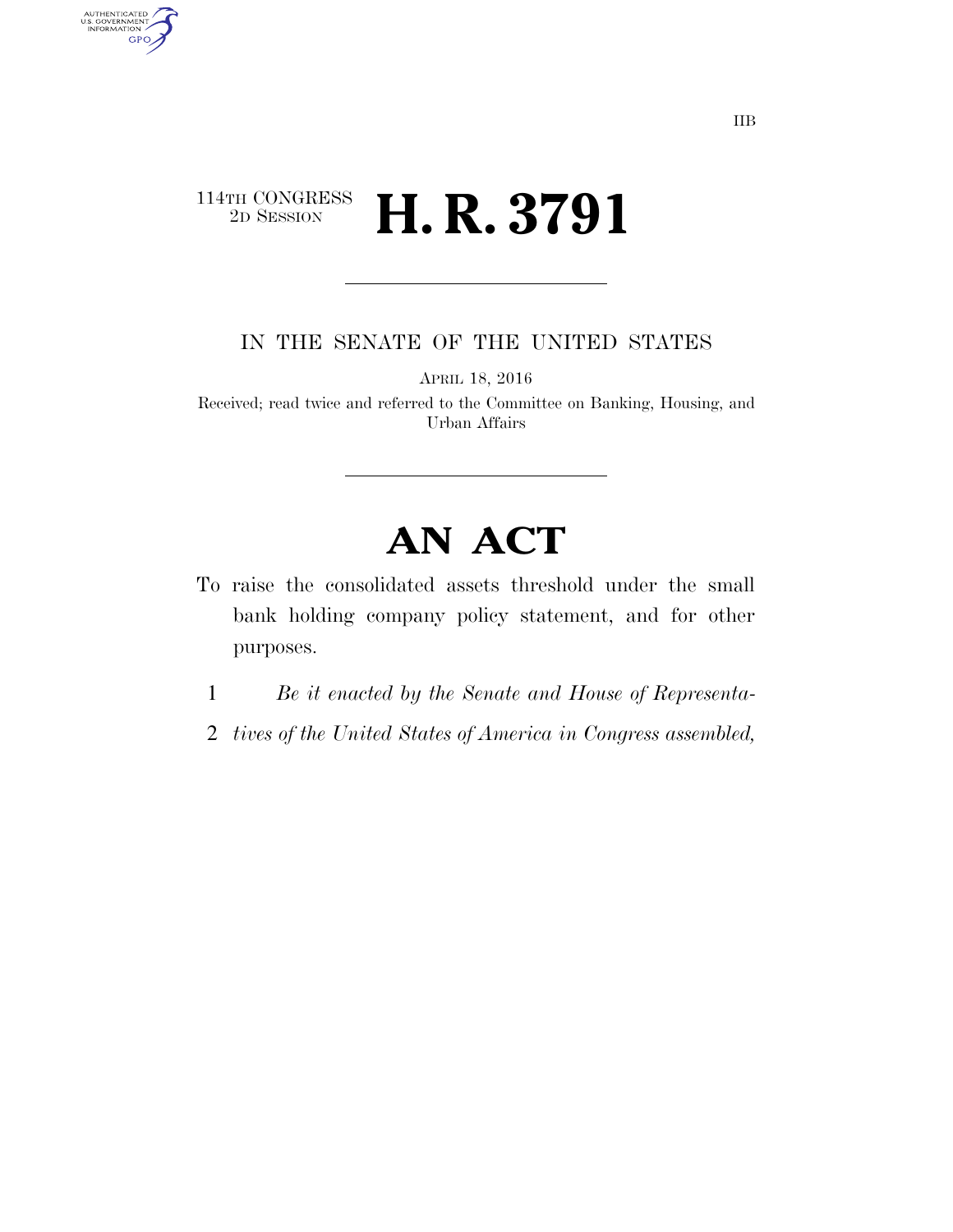## $\begin{array}{c} \textbf{114TH CONGRESS} \\ \textbf{2D SESION} \end{array}$ 2D SESSION **H. R. 3791**

AUTHENTICATED<br>U.S. GOVERNMENT<br>INFORMATION GPO

IN THE SENATE OF THE UNITED STATES

APRIL 18, 2016

Received; read twice and referred to the Committee on Banking, Housing, and Urban Affairs

## **AN ACT**

- To raise the consolidated assets threshold under the small bank holding company policy statement, and for other purposes.
	- 1 *Be it enacted by the Senate and House of Representa-*
- 2 *tives of the United States of America in Congress assembled,*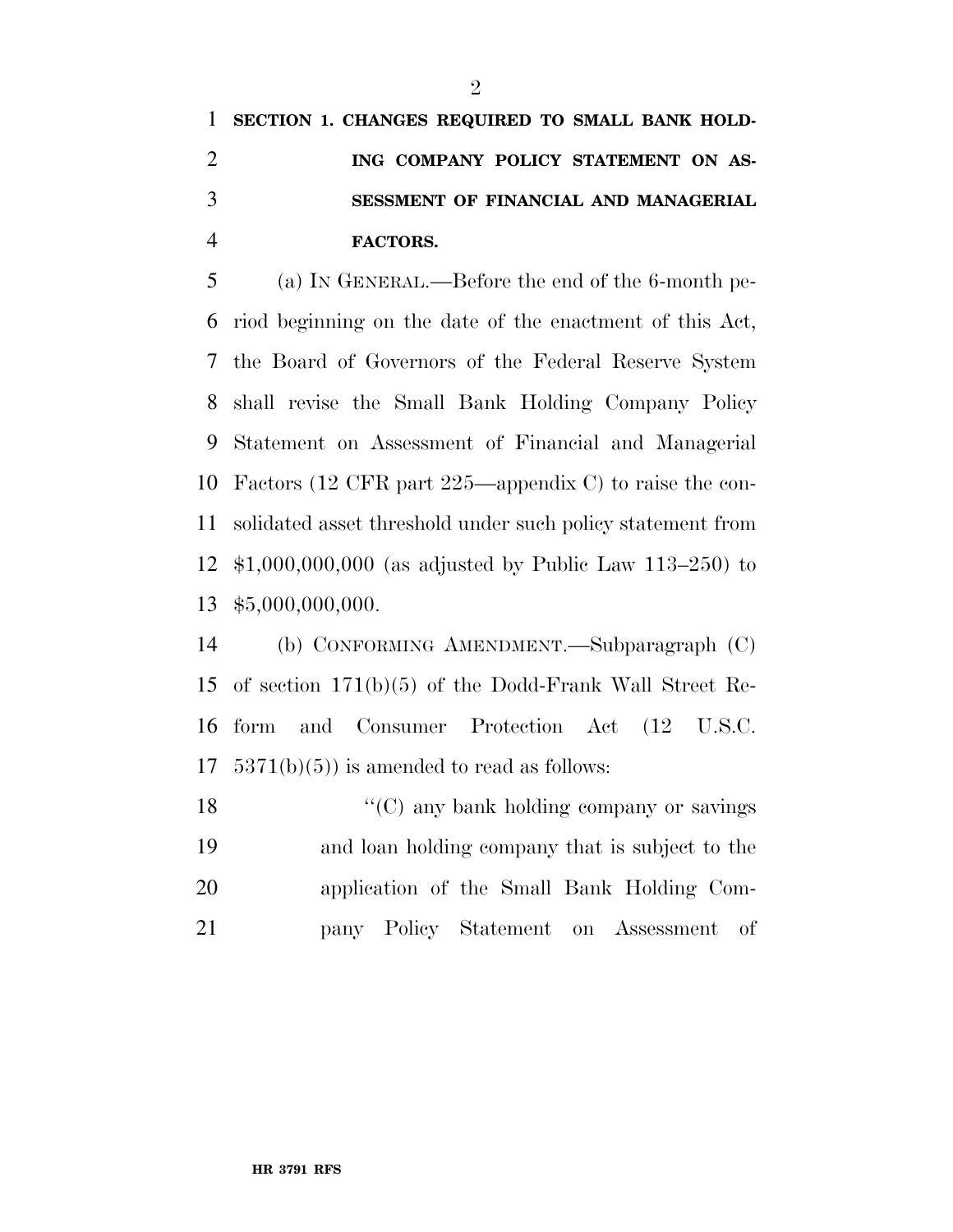(a) IN GENERAL.—Before the end of the 6-month pe- riod beginning on the date of the enactment of this Act, the Board of Governors of the Federal Reserve System shall revise the Small Bank Holding Company Policy Statement on Assessment of Financial and Managerial Factors (12 CFR part 225—appendix C) to raise the con- solidated asset threshold under such policy statement from \$1,000,000,000 (as adjusted by Public Law 113–250) to \$5,000,000,000.

 (b) CONFORMING AMENDMENT.—Subparagraph (C) of section 171(b)(5) of the Dodd-Frank Wall Street Re- form and Consumer Protection Act (12 U.S.C.  $5371(b)(5)$  is amended to read as follows:

18 ''(C) any bank holding company or savings and loan holding company that is subject to the application of the Small Bank Holding Com-pany Policy Statement on Assessment of